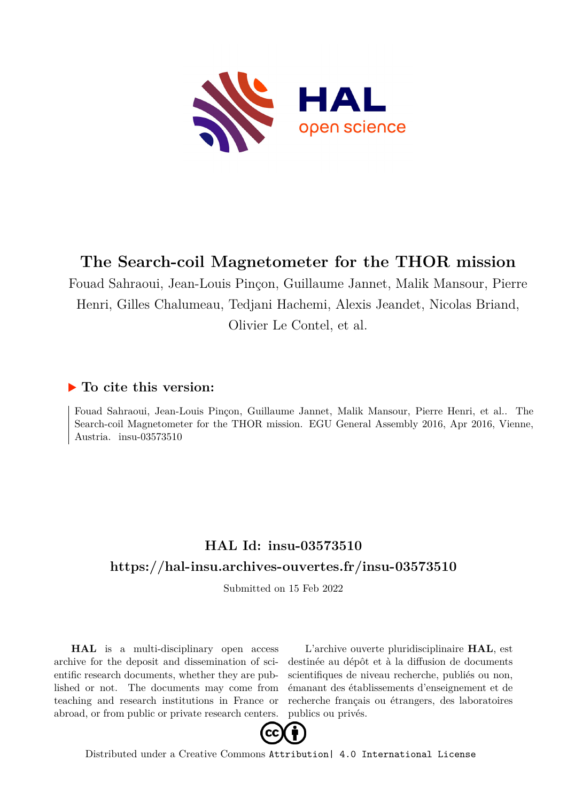

## **The Search-coil Magnetometer for the THOR mission**

Fouad Sahraoui, Jean-Louis Pinçon, Guillaume Jannet, Malik Mansour, Pierre Henri, Gilles Chalumeau, Tedjani Hachemi, Alexis Jeandet, Nicolas Briand, Olivier Le Contel, et al.

## **To cite this version:**

Fouad Sahraoui, Jean-Louis Pinçon, Guillaume Jannet, Malik Mansour, Pierre Henri, et al.. The Search-coil Magnetometer for the THOR mission. EGU General Assembly 2016, Apr 2016, Vienne, Austria. insu-03573510

## **HAL Id: insu-03573510 <https://hal-insu.archives-ouvertes.fr/insu-03573510>**

Submitted on 15 Feb 2022

**HAL** is a multi-disciplinary open access archive for the deposit and dissemination of scientific research documents, whether they are published or not. The documents may come from teaching and research institutions in France or abroad, or from public or private research centers.

L'archive ouverte pluridisciplinaire **HAL**, est destinée au dépôt et à la diffusion de documents scientifiques de niveau recherche, publiés ou non, émanant des établissements d'enseignement et de recherche français ou étrangers, des laboratoires publics ou privés.



Distributed under a Creative Commons [Attribution| 4.0 International License](http://creativecommons.org/licenses/by/4.0/)